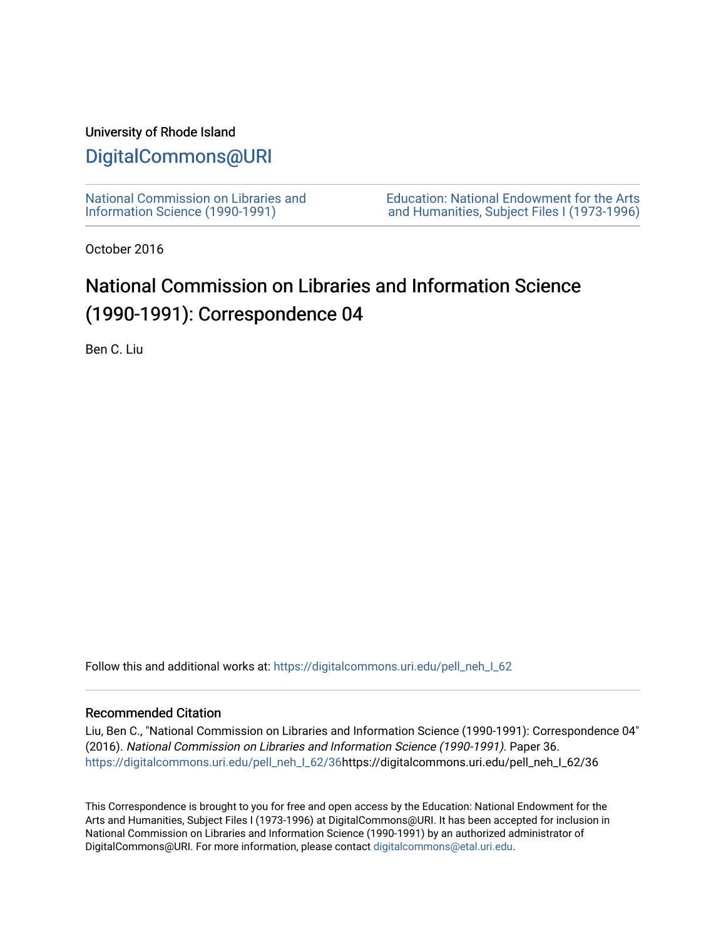### University of Rhode Island

# [DigitalCommons@URI](https://digitalcommons.uri.edu/)

[National Commission on Libraries and](https://digitalcommons.uri.edu/pell_neh_I_62) [Information Science \(1990-1991\)](https://digitalcommons.uri.edu/pell_neh_I_62) 

[Education: National Endowment for the Arts](https://digitalcommons.uri.edu/pell_neh_I)  [and Humanities, Subject Files I \(1973-1996\)](https://digitalcommons.uri.edu/pell_neh_I) 

October 2016

# National Commission on Libraries and Information Science (1990-1991): Correspondence 04

Ben C. Liu

Follow this and additional works at: https://digitalcommons.uri.edu/pell\_neh\_I\_62

### Recommended Citation

Liu, Ben C., "National Commission on Libraries and Information Science (1990-1991): Correspondence 04" (2016). National Commission on Libraries and Information Science (1990-1991). Paper 36. [https://digitalcommons.uri.edu/pell\\_neh\\_I\\_62/36h](https://digitalcommons.uri.edu/pell_neh_I_62/36?utm_source=digitalcommons.uri.edu%2Fpell_neh_I_62%2F36&utm_medium=PDF&utm_campaign=PDFCoverPages)ttps://digitalcommons.uri.edu/pell\_neh\_I\_62/36

This Correspondence is brought to you for free and open access by the Education: National Endowment for the Arts and Humanities, Subject Files I (1973-1996) at DigitalCommons@URI. It has been accepted for inclusion in National Commission on Libraries and Information Science (1990-1991) by an authorized administrator of DigitalCommons@URI. For more information, please contact [digitalcommons@etal.uri.edu.](mailto:digitalcommons@etal.uri.edu)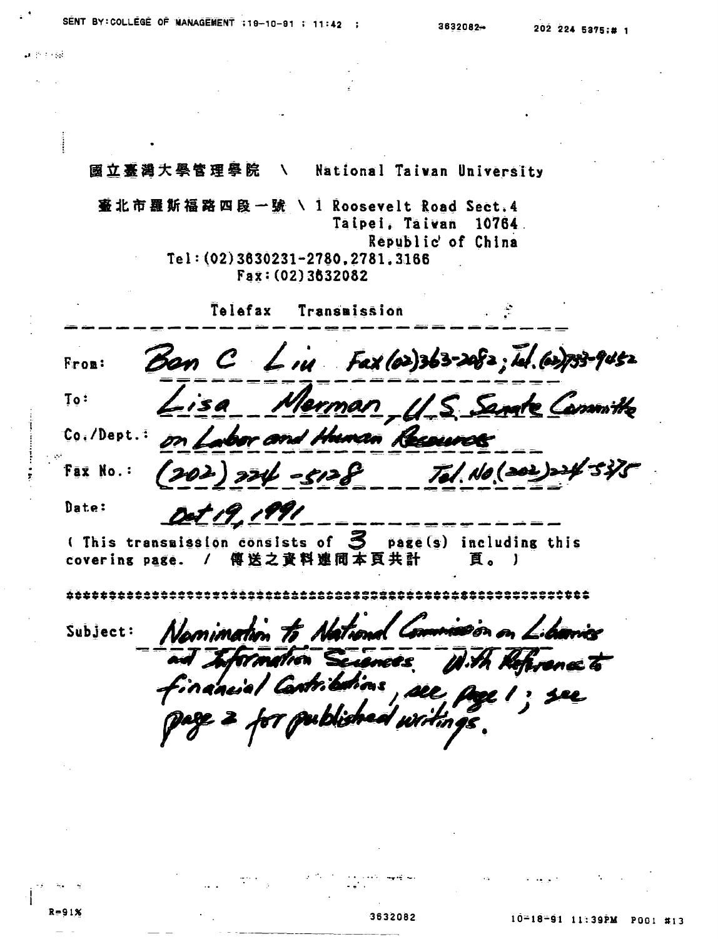$\mathcal{L} = \{1, 2, \ldots, n\}$ 

國立臺灣大學管理學院  $\lambda$ National Taivan University 臺 北 市 羅 斯 福 路 四 段 一 號 \ 1 Roosevelt Road Sect.4 Taipei, Taiwan 10764. Republic' of China Tel: (02) 3630231-2780, 2781, 3166 Fax: (02) 3632082 Telefax Transmission Ban  $C$  Liu Fax (02)363-2082; Id. (02)733-9452 Fron: Merman, U.S. Sande Committee  $To:$ Co. /Dept.: on Labor and Human Resource  $774 - 5128$  Tel. No (202)24 Fax No.:  $202$ Oct 19, 1991 Date: (This transmission consists of  $\mathcal S$  page(s) including this covering page. / 傳送之資料連同本頁共計 貫。 J Namination to National Commission on Libraries Subject: and Information Secondes. With Reference to financial Cartributions, see, page 1; see 2 for published writings

3632082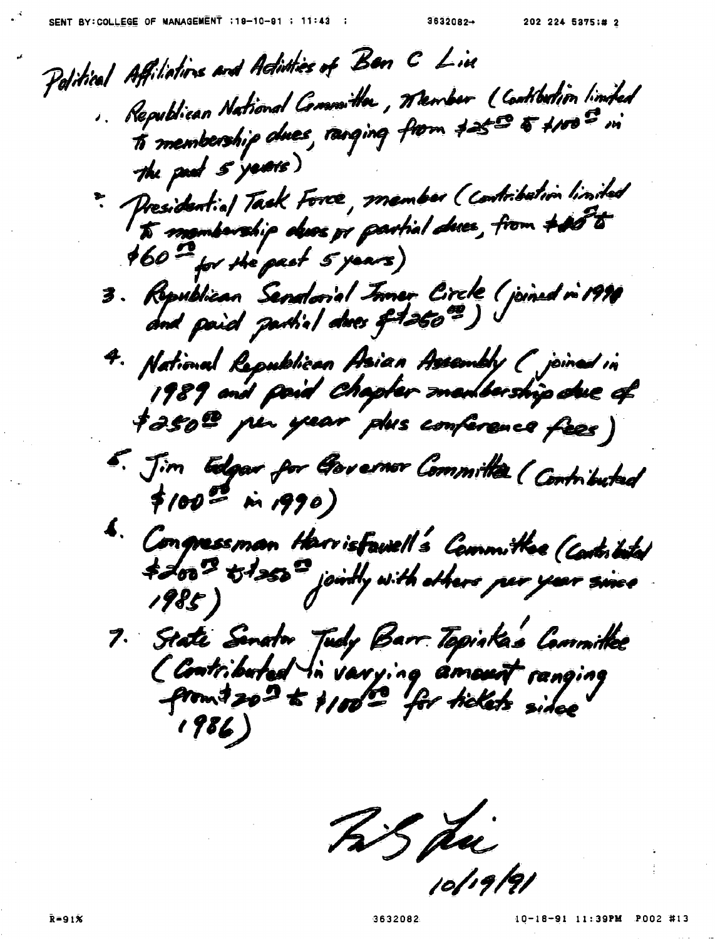Political Affiliations and Adinties of Ban C Line . Republican National Committee, Member (Contibution limited to membership awes, ranging from the 5 4100 m the pad s'years) " Presidential Tack Force, member (contribution limited  $160<sup>2</sup>$  for the past 5 years) 3. Republican Senatorial Juner Circle (joined in 1990 and paid partial dues of 2500) 4. National Republican Asian Assembly (poined in 1989 and poid chapter manibership due of tasol per year des conference fèes) 5. Jim Edgar for Governor Committee ( Contributed  $$100^{22}$  in 1990) 6. Congressman Herrisfauell's Cammittee (Cartistal \$200 DI250 jointly with others per year since 1985) 7. State Senator Tudy Barr Topiska's Committee<br>(Contributed in varying amount ranging<br>promt 20<sup>2</sup> to \$100<sup>00</sup> for tickets sidee  $1986)$ 

Tis du 0/19/91